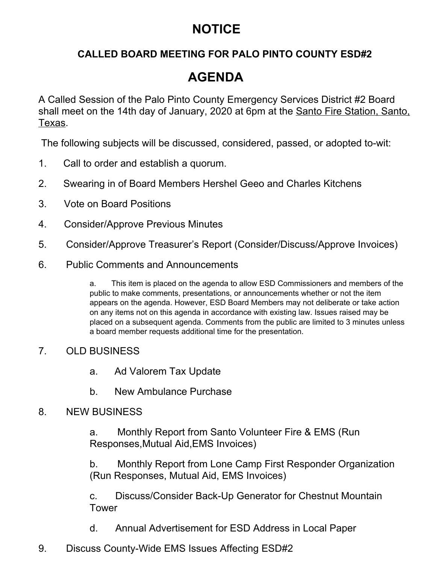# **NOTICE**

## **CALLED BOARD MEETING FOR PALO PINTO COUNTY ESD#2**

# **AGENDA**

A Called Session of the Palo Pinto County Emergency Services District #2 Board shall meet on the 14th day of January, 2020 at 6pm at the Santo Fire Station, Santo, Texas.

The following subjects will be discussed, considered, passed, or adopted to-wit:

- 1. Call to order and establish a quorum.
- 2. Swearing in of Board Members Hershel Geeo and Charles Kitchens
- 3. Vote on Board Positions
- 4. Consider/Approve Previous Minutes
- 5. Consider/Approve Treasurer's Report (Consider/Discuss/Approve Invoices)
- 6. Public Comments and Announcements

a. This item is placed on the agenda to allow ESD Commissioners and members of the public to make comments, presentations, or announcements whether or not the item appears on the agenda. However, ESD Board Members may not deliberate or take action on any items not on this agenda in accordance with existing law. Issues raised may be placed on a subsequent agenda. Comments from the public are limited to 3 minutes unless a board member requests additional time for the presentation.

### 7. OLD BUSINESS

- a. Ad Valorem Tax Update
- b. New Ambulance Purchase

#### 8. NEW BUSINESS

a. Monthly Report from Santo Volunteer Fire & EMS (Run Responses,Mutual Aid,EMS Invoices)

b. Monthly Report from Lone Camp First Responder Organization (Run Responses, Mutual Aid, EMS Invoices)

c. Discuss/Consider Back-Up Generator for Chestnut Mountain Tower

- d. Annual Advertisement for ESD Address in Local Paper
- 9. Discuss County-Wide EMS Issues Affecting ESD#2